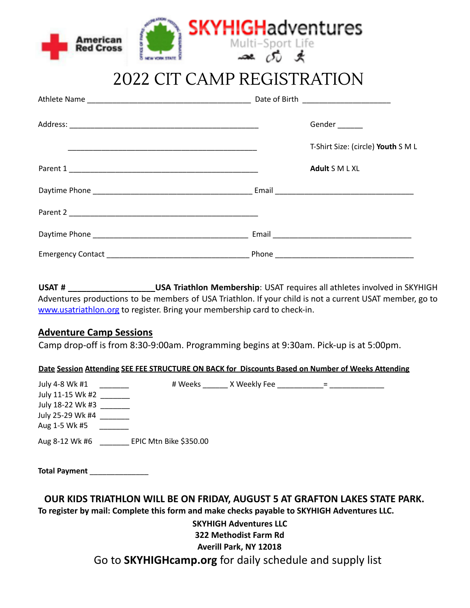|                                     | <b>SKYHIGHadventures</b> |
|-------------------------------------|--------------------------|
| <b>American</b><br><b>Red Cross</b> | Multi-Sport Life         |

2022 CIT CAMP REGISTRATION

|  | Gender                             |
|--|------------------------------------|
|  | T-Shirt Size: (circle) Youth S M L |
|  | Adult S M L XL                     |
|  |                                    |
|  |                                    |
|  |                                    |
|  |                                    |

**USAT # \_\_\_\_\_\_\_\_\_\_\_\_\_\_\_\_\_\_\_USA Triathlon Membership**: USAT requires all athletes involved in SKYHIGH Adventures productions to be members of USA Triathlon. If your child is not a current USAT member, go to www.usatriathlon.org to register. Bring your membership card to check-in.

## **Adventure Camp Sessions**

Camp drop-off is from 8:30-9:00am. Programming begins at 9:30am. Pick-up is at 5:00pm.

### **Date Session Attending SEE FEE STRUCTURE ON BACK for Discounts Based on Number of Weeks Attending**

| July 4-8 Wk #1   | # Weeks                | X Weekly Fee |  |
|------------------|------------------------|--------------|--|
| July 11-15 Wk #2 |                        |              |  |
| July 18-22 Wk #3 |                        |              |  |
| July 25-29 Wk #4 |                        |              |  |
| Aug 1-5 Wk #5    |                        |              |  |
| Aug 8-12 Wk #6   | EPIC Mtn Bike \$350.00 |              |  |

**Total Payment** \_\_\_\_\_\_\_\_\_\_\_\_\_\_

**OUR KIDS TRIATHLON WILL BE ON FRIDAY, AUGUST 5 AT GRAFTON LAKES STATE PARK. To register by mail: Complete this form and make checks payable to SKYHIGH Adventures LLC.**

> **SKYHIGH Adventures LLC 322 Methodist Farm Rd Averill Park, NY 12018** Go to **SKYHIGHcamp.org** for daily schedule and supply list